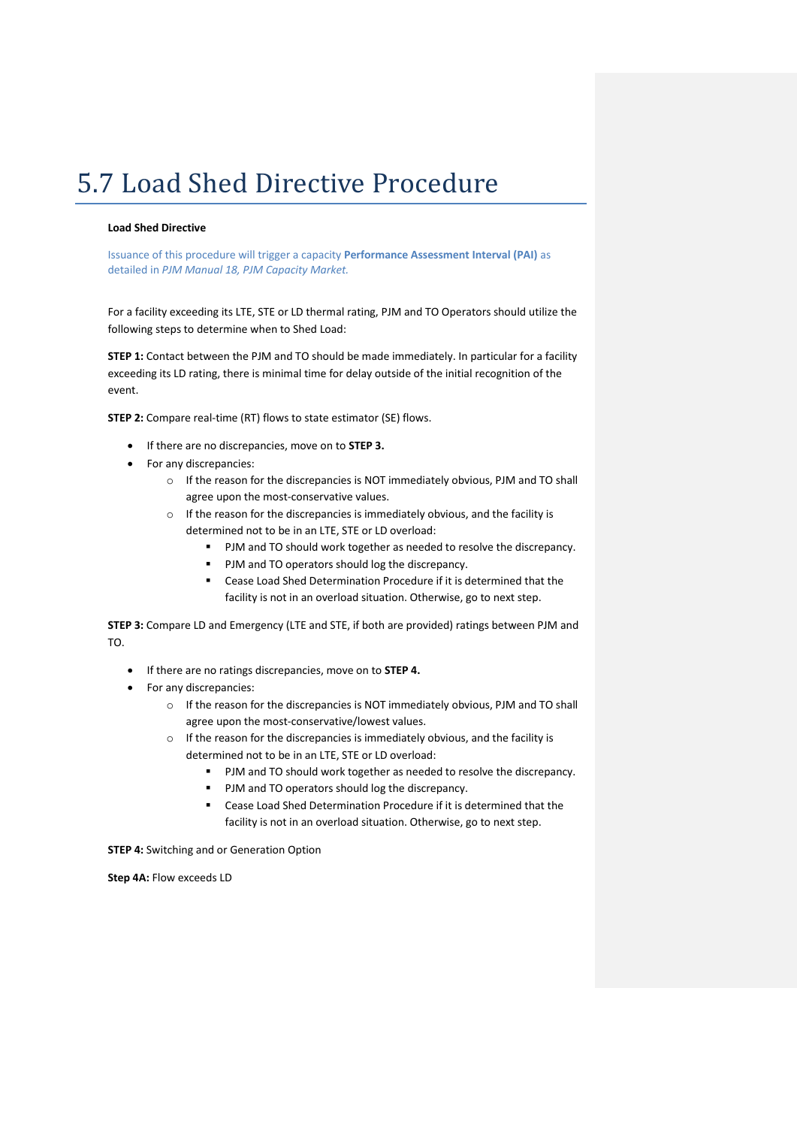## 5.7 Load Shed Directive Procedure

## **Load Shed Directive**

Issuance of this procedure will trigger a capacity **Performance Assessment Interval (PAI)** as detailed in *PJM Manual 18, PJM Capacity Market.*

For a facility exceeding its LTE, STE or LD thermal rating, PJM and TO Operators should utilize the following steps to determine when to Shed Load:

**STEP 1:** Contact between the PJM and TO should be made immediately. In particular for a facility exceeding its LD rating, there is minimal time for delay outside of the initial recognition of the event.

**STEP 2:** Compare real-time (RT) flows to state estimator (SE) flows.

- If there are no discrepancies, move on to **STEP 3.**
- For any discrepancies:
	- o If the reason for the discrepancies is NOT immediately obvious, PJM and TO shall agree upon the most-conservative values.
	- o If the reason for the discrepancies is immediately obvious, and the facility is determined not to be in an LTE, STE or LD overload:
		- **PJM and TO should work together as needed to resolve the discrepancy.**
		- **PJM and TO operators should log the discrepancy.**
		- Cease Load Shed Determination Procedure if it is determined that the facility is not in an overload situation. Otherwise, go to next step.

**STEP 3:** Compare LD and Emergency (LTE and STE, if both are provided) ratings between PJM and TO.

- If there are no ratings discrepancies, move on to **STEP 4.**
- For any discrepancies:
	- o If the reason for the discrepancies is NOT immediately obvious, PJM and TO shall agree upon the most-conservative/lowest values.
	- o If the reason for the discrepancies is immediately obvious, and the facility is determined not to be in an LTE, STE or LD overload:
		- **PJM and TO should work together as needed to resolve the discrepancy.**
		- PJM and TO operators should log the discrepancy.
		- Cease Load Shed Determination Procedure if it is determined that the facility is not in an overload situation. Otherwise, go to next step.

**STEP 4:** Switching and or Generation Option

**Step 4A:** Flow exceeds LD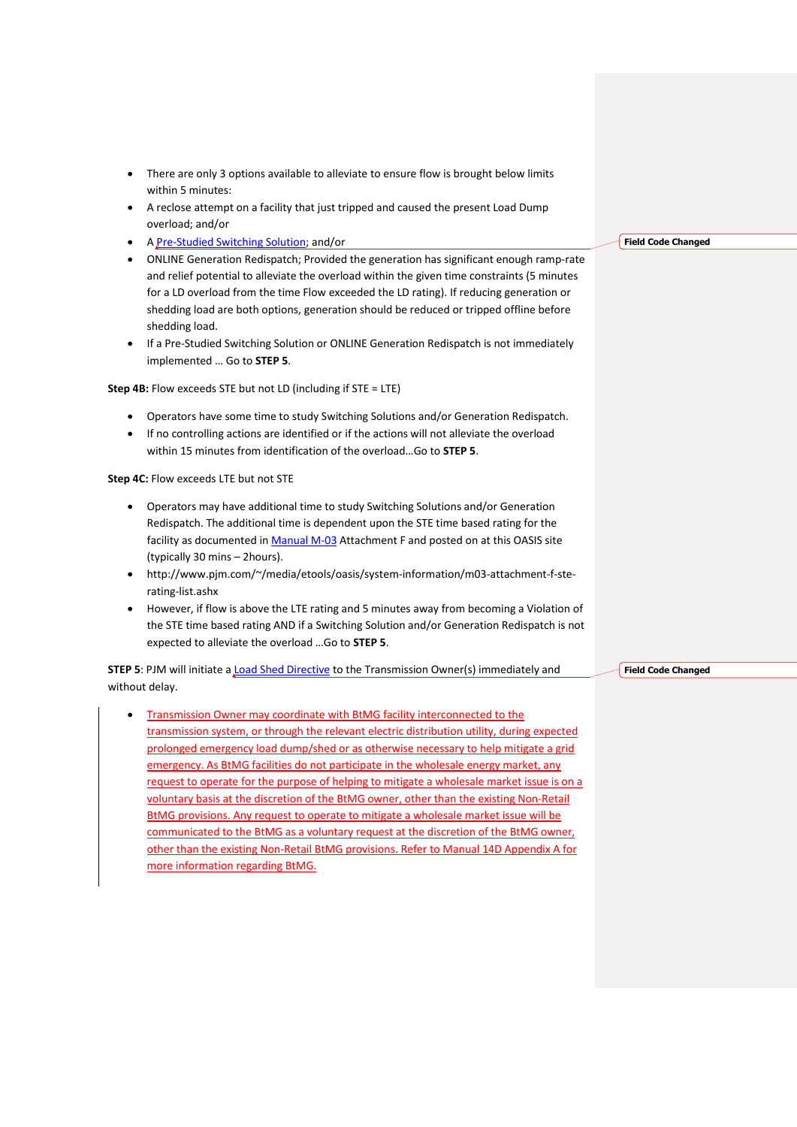- There are only 3 options available to alleviate to ensure flow is brought below limits within 5 minutes:
- A reclose attempt on a facility that just tripped and caused the present Load Dump overload; and/or
- A [Pre-Studied Switching Solution;](file:///C:/Users/langbp/AppData/Local/Temp/sx.636713104046377057/636713104046377121/57%20Load%20Shed%20Directive%20Procedure.dita%23PreStudiedSwitchingSolution) and/or
- ONLINE Generation Redispatch; Provided the generation has significant enough ramp-rate and relief potential to alleviate the overload within the given time constraints (5 minutes for a LD overload from the time Flow exceeded the LD rating). If reducing generation or shedding load are both options, generation should be reduced or tripped offline before shedding load.
- If a Pre-Studied Switching Solution or ONLINE Generation Redispatch is not immediately implemented … Go to **STEP 5**.

**Step 4B:** Flow exceeds STE but not LD (including if STE = LTE)

- Operators have some time to study Switching Solutions and/or Generation Redispatch.
- If no controlling actions are identified or if the actions will not alleviate the overload within 15 minutes from identification of the overload…Go to **STEP 5**.

**Step 4C: Flow exceeds LTE but not STE** 

- Operators may have additional time to study Switching Solutions and/or Generation Redispatch. The additional time is dependent upon the STE time based rating for the facility as documented in [Manual M-03](http://www.pjm.com/~/media/documents/manuals/m03.ashx) Attachment F and posted on at this OASIS site (typically 30 mins – 2hours).
- http://www.pjm.com/~/media/etools/oasis/system-information/m03-attachment-f-sterating-list.ashx
- However, if flow is above the LTE rating and 5 minutes away from becoming a Violation of the STE time based rating AND if a Switching Solution and/or Generation Redispatch is not expected to alleviate the overload …Go to **STEP 5**.

**STEP 5: PJM will initiate a [Load Shed Directive](file:///C:/Users/langbp/AppData/Local/Temp/sx.636713104046377057/636713104046377121/57%20Load%20Shed%20Directive%20Procedure.dita%23LoadShedDirective) to the Transmission Owner(s) immediately and** without delay.

 Transmission Owner may coordinate with BtMG facility interconnected to the transmission system, or through the relevant electric distribution utility, during expected prolonged emergency load dump/shed or as otherwise necessary to help mitigate a grid emergency. As BtMG facilities do not participate in the wholesale energy market, any request to operate for the purpose of helping to mitigate a wholesale market issue is on a voluntary basis at the discretion of the BtMG owner, other than the existing Non-Retail BtMG provisions. Any request to operate to mitigate a wholesale market issue will be communicated to the BtMG as a voluntary request at the discretion of the BtMG owner, other than the existing Non-Retail BtMG provisions. Refer to Manual 14D Appendix A for more information regarding BtMG.

**Field Code Changed**

**Field Code Changed**